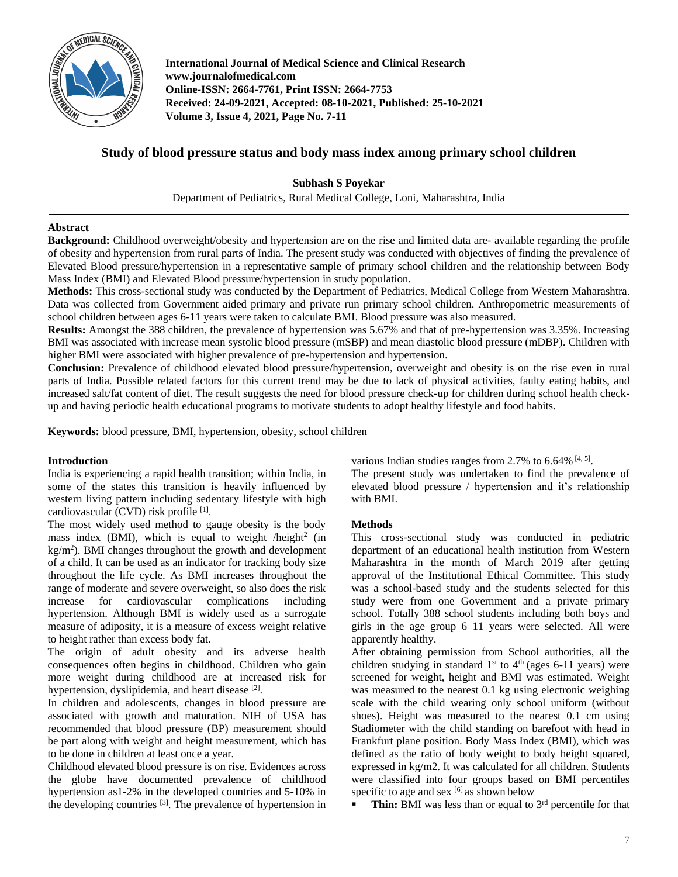

**International Journal of Medical Science and Clinical Research www.journalofmedical.com Online-ISSN: 2664-7761, Print ISSN: 2664-7753 Received: 24-09-2021, Accepted: 08-10-2021, Published: 25-10-2021 Volume 3, Issue 4, 2021, Page No. 7-11**

# **Study of blood pressure status and body mass index among primary school children**

**Subhash S Poyekar** Department of Pediatrics, Rural Medical College, Loni, Maharashtra, India

### **Abstract**

**Background:** Childhood overweight/obesity and hypertension are on the rise and limited data are- available regarding the profile of obesity and hypertension from rural parts of India. The present study was conducted with objectives of finding the prevalence of Elevated Blood pressure/hypertension in a representative sample of primary school children and the relationship between Body Mass Index (BMI) and Elevated Blood pressure/hypertension in study population.

**Methods:** This cross-sectional study was conducted by the Department of Pediatrics, Medical College from Western Maharashtra. Data was collected from Government aided primary and private run primary school children. Anthropometric measurements of school children between ages 6-11 years were taken to calculate BMI. Blood pressure was also measured.

**Results:** Amongst the 388 children, the prevalence of hypertension was 5.67% and that of pre-hypertension was 3.35%. Increasing BMI was associated with increase mean systolic blood pressure (mSBP) and mean diastolic blood pressure (mDBP). Children with higher BMI were associated with higher prevalence of pre-hypertension and hypertension.

**Conclusion:** Prevalence of childhood elevated blood pressure/hypertension, overweight and obesity is on the rise even in rural parts of India. Possible related factors for this current trend may be due to lack of physical activities, faulty eating habits, and increased salt/fat content of diet. The result suggests the need for blood pressure check-up for children during school health checkup and having periodic health educational programs to motivate students to adopt healthy lifestyle and food habits.

**Keywords:** blood pressure, BMI, hypertension, obesity, school children

### **Introduction**

India is experiencing a rapid health transition; within India, in some of the states this transition is heavily influenced by western living pattern including sedentary lifestyle with high cardiovascular (CVD) risk profile [1].

The most widely used method to gauge obesity is the body mass index (BMI), which is equal to weight /height<sup>2</sup> (in  $kg/m<sup>2</sup>$ ). BMI changes throughout the growth and development of a child. It can be used as an indicator for tracking body size throughout the life cycle. As BMI increases throughout the range of moderate and severe overweight, so also does the risk increase for cardiovascular complications including hypertension. Although BMI is widely used as a surrogate measure of adiposity, it is a measure of excess weight relative to height rather than excess body fat.

The origin of adult obesity and its adverse health consequences often begins in childhood. Children who gain more weight during childhood are at increased risk for hypertension, dyslipidemia, and heart disease [2].

In children and adolescents, changes in blood pressure are associated with growth and maturation. NIH of USA has recommended that blood pressure (BP) measurement should be part along with weight and height measurement, which has to be done in children at least once a year.

Childhood elevated blood pressure is on rise. Evidences across the globe have documented prevalence of childhood hypertension as1-2% in the developed countries and 5-10% in the developing countries [3]. The prevalence of hypertension in various Indian studies ranges from 2.7% to  $6.64\%$  [4, 5].

The present study was undertaken to find the prevalence of elevated blood pressure / hypertension and it's relationship with BMI.

### **Methods**

This cross-sectional study was conducted in pediatric department of an educational health institution from Western Maharashtra in the month of March 2019 after getting approval of the Institutional Ethical Committee. This study was a school-based study and the students selected for this study were from one Government and a private primary school. Totally 388 school students including both boys and girls in the age group 6–11 years were selected. All were apparently healthy.

After obtaining permission from School authorities, all the children studying in standard  $1<sup>st</sup>$  to  $4<sup>th</sup>$  (ages 6-11 years) were screened for weight, height and BMI was estimated. Weight was measured to the nearest 0.1 kg using electronic weighing scale with the child wearing only school uniform (without shoes). Height was measured to the nearest 0.1 cm using Stadiometer with the child standing on barefoot with head in Frankfurt plane position. Body Mass Index (BMI), which was defined as the ratio of body weight to body height squared, expressed in kg/m2. It was calculated for all children. Students were classified into four groups based on BMI percentiles specific to age and sex  $\left[6\right]$  as shown below

Thin: BMI was less than or equal to 3<sup>rd</sup> percentile for that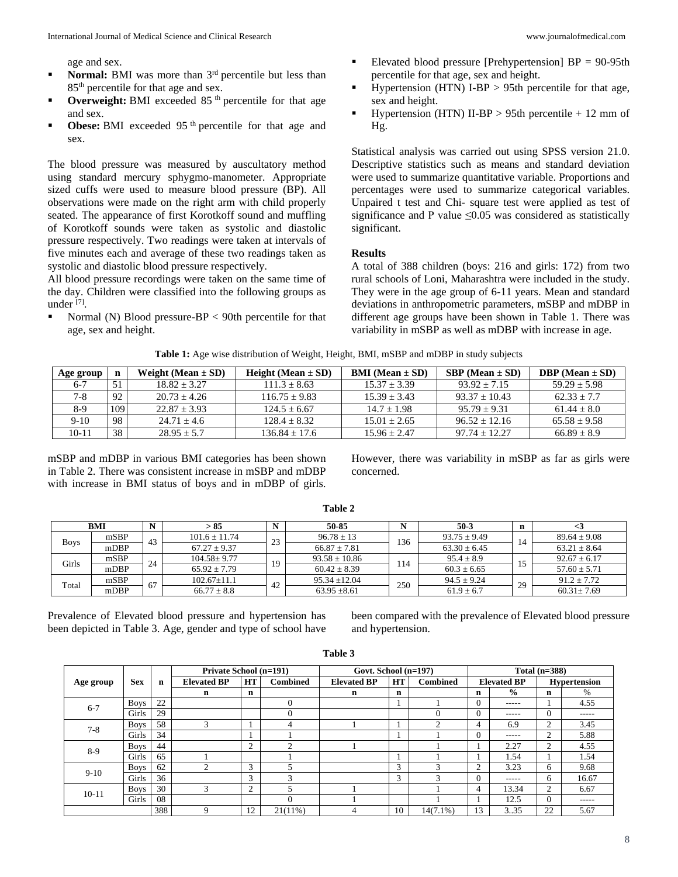age and sex.

- **Normal:** BMI was more than 3<sup>rd</sup> percentile but less than 85<sup>th</sup> percentile for that age and sex.
- **• Overweight:** BMI exceeded 85<sup>th</sup> percentile for that age and sex.
- **Obese:** BMI exceeded 95<sup>th</sup> percentile for that age and sex.

The blood pressure was measured by auscultatory method using standard mercury sphygmo-manometer. Appropriate sized cuffs were used to measure blood pressure (BP). All observations were made on the right arm with child properly seated. The appearance of first Korotkoff sound and muffling of Korotkoff sounds were taken as systolic and diastolic pressure respectively. Two readings were taken at intervals of five minutes each and average of these two readings taken as systolic and diastolic blood pressure respectively.

All blood pressure recordings were taken on the same time of the day. Children were classified into the following groups as under [7] .

Normal (N) Blood pressure- $BP < 90$ th percentile for that age, sex and height.

- Elevated blood pressure [Prehypertension]  $BP = 90-95th$ percentile for that age, sex and height.
- Hypertension (HTN) I-BP > 95th percentile for that age, sex and height.
- Hypertension (HTN) II-BP  $> 95$ th percentile  $+ 12$  mm of Hg.

Statistical analysis was carried out using SPSS version 21.0. Descriptive statistics such as means and standard deviation were used to summarize quantitative variable. Proportions and percentages were used to summarize categorical variables. Unpaired t test and Chi- square test were applied as test of significance and P value  $\leq 0.05$  was considered as statistically significant.

#### **Results**

A total of 388 children (boys: 216 and girls: 172) from two rural schools of Loni, Maharashtra were included in the study. They were in the age group of 6-11 years. Mean and standard deviations in anthropometric parameters, mSBP and mDBP in different age groups have been shown in Table 1. There was variability in mSBP as well as mDBP with increase in age.

**Table 1:** Age wise distribution of Weight, Height, BMI, mSBP and mDBP in study subjects

| Age group |     | Weight (Mean $\pm$ SD) | Height (Mean $\pm$ SD) | <b>BMI</b> (Mean $\pm$ SD) | $SBP (Mean \pm SD)$ | DBP (Mean $\pm$ SD) |
|-----------|-----|------------------------|------------------------|----------------------------|---------------------|---------------------|
| $6-7$     |     | $18.82 + 3.27$         | $111.3 + 8.63$         | $15.37 + 3.39$             | $93.92 + 7.15$      | $59.29 + 5.98$      |
| $7-8$     | 92  | $20.73 + 4.26$         | $116.75 + 9.83$        | $15.39 + 3.43$             | $93.37 + 10.43$     | $62.33 + 7.7$       |
| 8-9       | 109 | $22.87 + 3.93$         | $124.5 + 6.67$         | $14.7 + 1.98$              | $95.79 + 9.31$      | $61.44 + 8.0$       |
| $9-10$    | 98  | $24.71 + 4.6$          | $128.4 + 8.32$         | $15.01 + 2.65$             | $96.52 + 12.16$     | $65.58 \pm 9.58$    |
| 10-11     | 38  | $28.95 + 5.7$          | $136.84 + 17.6$        | $15.96 + 2.47$             | $97.74 + 12.27$     | $66.89 \pm 8.9$     |

mSBP and mDBP in various BMI categories has been shown in Table 2. There was consistent increase in mSBP and mDBP with increase in BMI status of boys and in mDBP of girls. However, there was variability in mSBP as far as girls were concerned.

| BMI         |      |    | > 85              |               | 50-85             | $50-3$ |                  | n  | ⊂.               |
|-------------|------|----|-------------------|---------------|-------------------|--------|------------------|----|------------------|
|             | mSBP |    | $101.6 \pm 11.74$ | $\mathcal{L}$ | $96.78 \pm 13$    | 136    | $93.75 \pm 9.49$ | 14 | $89.64 \pm 9.08$ |
| <b>Boys</b> | mDBP | 43 | $67.27 + 9.37$    | رے            | $66.87 \pm 7.81$  |        | $63.30 \pm 6.45$ |    | $63.21 \pm 8.64$ |
| Girls       | mSBP | 24 | $104.58 \pm 9.77$ | 19            | $93.58 \pm 10.86$ | 14     | $95.4 \pm 8.9$   | 1J | $92.67 \pm 6.17$ |
|             | mDBP |    | $65.92 + 7.79$    |               | $60.42 \pm 8.39$  |        | $60.3 \pm 6.65$  |    | $57.60 \pm 5.71$ |
| Total       | mSBP | 67 | $102.67 \pm 11.1$ | 42            | $95.34 + 12.04$   | 250    | $94.5 \pm 9.24$  | 29 | $91.2 \pm 7.72$  |
|             | mDBP |    | $66.77 \pm 8.8$   |               | $63.95 \pm 8.61$  |        | $61.9 \pm 6.7$   |    | $60.31 \pm 7.69$ |

**Table 2**

Prevalence of Elevated blood pressure and hypertension has been depicted in Table 3. Age, gender and type of school have been compared with the prevalence of Elevated blood pressure and hypertension.

|           | <b>Sex</b>  | n   | <b>Private School (n=191)</b> |                |                 | Govt. School (n=197) |    |                 | Total $(n=388)$ |                    |                     |       |
|-----------|-------------|-----|-------------------------------|----------------|-----------------|----------------------|----|-----------------|-----------------|--------------------|---------------------|-------|
| Age group |             |     | <b>Elevated BP</b>            | HT             | <b>Combined</b> | <b>Elevated BP</b>   | HT | <b>Combined</b> |                 | <b>Elevated BP</b> | <b>Hypertension</b> |       |
|           |             |     | n                             | n              |                 | n                    | n  |                 | n               | $\frac{6}{9}$      | $\mathbf n$         | $\%$  |
| $6 - 7$   | <b>Boys</b> | 22  |                               |                | $\theta$        |                      |    |                 | $\Omega$        | -----              |                     | 4.55  |
|           | Girls       | 29  |                               |                | $\Omega$        |                      |    |                 | $\theta$        | -----              | 0                   | ----- |
|           | <b>Boys</b> | 58  |                               |                | 4               |                      |    | $\bigcap$       | 4               | 6.9                | 2                   | 3.45  |
| $7 - 8$   | Girls       | 34  |                               |                |                 |                      |    |                 | $\Omega$        | -----              | 2                   | 5.88  |
| $8-9$     | <b>Boys</b> | 44  |                               | $\overline{c}$ | $\bigcap$       |                      |    |                 |                 | 2.27               | 2                   | 4.55  |
|           | Girls       | 65  |                               |                |                 |                      |    |                 |                 | 1.54               |                     | 1.54  |
| $9 - 10$  | <b>Boys</b> | 62  | ◠                             | $\mathbf{3}$   |                 |                      | 3  | $\sqrt{2}$      | $\overline{c}$  | 3.23               | 6                   | 9.68  |
|           | Girls       | 36  |                               | 3              | $\mathbf{3}$    |                      | 3  | $\sim$          | $\Omega$        | -----              | 6                   | 16.67 |
| $10 - 11$ | <b>Boys</b> | 30  | 3                             | $\overline{2}$ |                 |                      |    |                 | 4               | 13.34              | 2                   | 6.67  |
|           | Girls       | 08  |                               |                |                 |                      |    |                 |                 | 12.5               | 0                   | ----- |
|           |             | 388 | $\mathbf Q$                   | 12             | $21(11\%)$      | 4                    | 10 | $14(7.1\%)$     | 13              | 3.35               | 22                  | 5.67  |

**Table 3**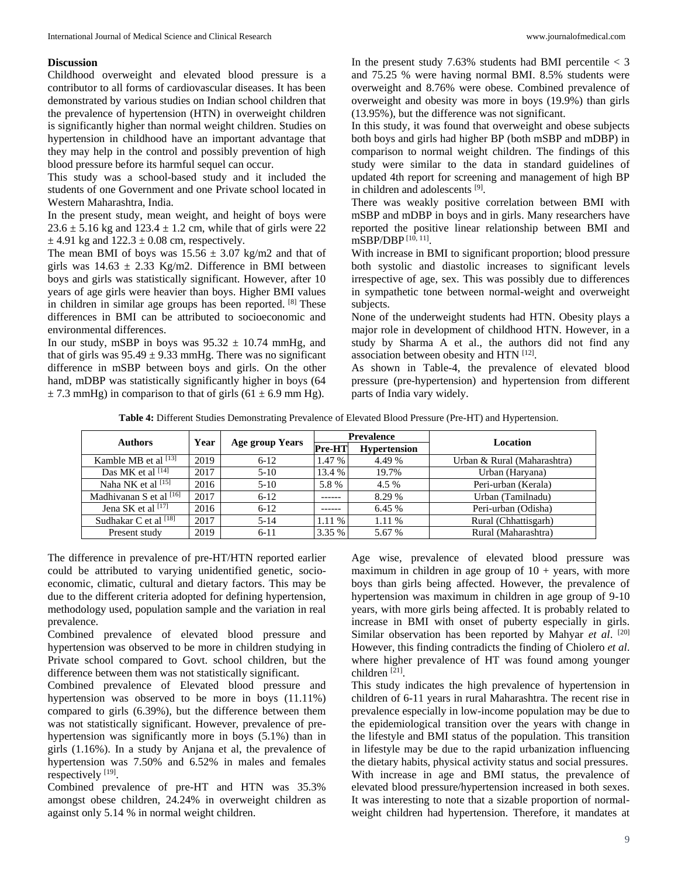#### **Discussion**

Childhood overweight and elevated blood pressure is a contributor to all forms of cardiovascular diseases. It has been demonstrated by various studies on Indian school children that the prevalence of hypertension (HTN) in overweight children is significantly higher than normal weight children. Studies on hypertension in childhood have an important advantage that they may help in the control and possibly prevention of high blood pressure before its harmful sequel can occur.

This study was a school-based study and it included the students of one Government and one Private school located in Western Maharashtra, India.

In the present study, mean weight, and height of boys were  $23.6 \pm 5.16$  kg and  $123.4 \pm 1.2$  cm, while that of girls were 22  $\pm$  4.91 kg and 122.3  $\pm$  0.08 cm, respectively.

The mean BMI of boys was  $15.56 \pm 3.07$  kg/m2 and that of girls was  $14.63 \pm 2.33$  Kg/m2. Difference in BMI between boys and girls was statistically significant. However, after 10 years of age girls were heavier than boys. Higher BMI values in children in similar age groups has been reported. [8] These differences in BMI can be attributed to socioeconomic and environmental differences.

In our study, mSBP in boys was  $95.32 \pm 10.74$  mmHg, and that of girls was  $95.49 \pm 9.33$  mmHg. There was no significant difference in mSBP between boys and girls. On the other hand, mDBP was statistically significantly higher in boys  $(64)$  $\pm$  7.3 mmHg) in comparison to that of girls (61  $\pm$  6.9 mm Hg).

In the present study 7.63% students had BMI percentile  $<$  3 and 75.25 % were having normal BMI. 8.5% students were overweight and 8.76% were obese. Combined prevalence of overweight and obesity was more in boys (19.9%) than girls (13.95%), but the difference was not significant.

In this study, it was found that overweight and obese subjects both boys and girls had higher BP (both mSBP and mDBP) in comparison to normal weight children. The findings of this study were similar to the data in standard guidelines of updated 4th report for screening and management of high BP in children and adolescents [9].

There was weakly positive correlation between BMI with mSBP and mDBP in boys and in girls. Many researchers have reported the positive linear relationship between BMI and mSBP/DBP [10, 11] .

With increase in BMI to significant proportion; blood pressure both systolic and diastolic increases to significant levels irrespective of age, sex. This was possibly due to differences in sympathetic tone between normal-weight and overweight subjects.

None of the underweight students had HTN. Obesity plays a major role in development of childhood HTN. However, in a study by Sharma A et al., the authors did not find any association between obesity and HTN [12].

As shown in Table-4, the prevalence of elevated blood pressure (pre-hypertension) and hypertension from different parts of India vary widely.

**Table 4:** Different Studies Demonstrating Prevalence of Elevated Blood Pressure (Pre-HT) and Hypertension.

| <b>Authors</b>             | Year |                        |                               | <b>Prevalence</b> | Location                    |  |  |
|----------------------------|------|------------------------|-------------------------------|-------------------|-----------------------------|--|--|
|                            |      | <b>Age group Years</b> | Pre-HT<br><b>Hypertension</b> |                   |                             |  |  |
| Kamble MB et al $^{[13]}$  | 2019 | $6-12$                 | 1.47 %                        | 4.49 %            | Urban & Rural (Maharashtra) |  |  |
| Das MK et al [14]          | 2017 | $5-10$                 | 13.4 %                        | 19.7%             | Urban (Haryana)             |  |  |
| Naha NK et al <a>[15]</a>  | 2016 | $5-10$                 | 5.8%                          | 4.5 %             | Peri-urban (Kerala)         |  |  |
| Madhivanan S et al [16]    | 2017 | $6 - 12$               | -----                         | 8.29 %            | Urban (Tamilnadu)           |  |  |
| Jena SK et al $[17]$       | 2016 | $6 - 12$               |                               | 6.45 %            | Peri-urban (Odisha)         |  |  |
| Sudhakar C et al $^{[18]}$ | 2017 | $5 - 14$               | 1.11 %                        | 1.11 %            | Rural (Chhattisgarh)        |  |  |
| Present study              | 2019 | $6-11$                 | 3.35 %                        | 5.67 %            | Rural (Maharashtra)         |  |  |

The difference in prevalence of pre-HT/HTN reported earlier could be attributed to varying unidentified genetic, socioeconomic, climatic, cultural and dietary factors. This may be due to the different criteria adopted for defining hypertension, methodology used, population sample and the variation in real prevalence.

Combined prevalence of elevated blood pressure and hypertension was observed to be more in children studying in Private school compared to Govt. school children, but the difference between them was not statistically significant.

Combined prevalence of Elevated blood pressure and hypertension was observed to be more in boys (11.11%) compared to girls (6.39%), but the difference between them was not statistically significant. However, prevalence of prehypertension was significantly more in boys (5.1%) than in girls (1.16%). In a study by Anjana et al, the prevalence of hypertension was 7.50% and 6.52% in males and females respectively [19].

Combined prevalence of pre-HT and HTN was 35.3% amongst obese children, 24.24% in overweight children as against only 5.14 % in normal weight children.

Age wise, prevalence of elevated blood pressure was maximum in children in age group of  $10 + \text{years}$ , with more boys than girls being affected. However, the prevalence of hypertension was maximum in children in age group of 9-10 years, with more girls being affected. It is probably related to increase in BMI with onset of puberty especially in girls. Similar observation has been reported by Mahyar et al. [20] However, this finding contradicts the finding of Chiolero *et al*. where higher prevalence of HT was found among younger children<sup>[21]</sup>.

This study indicates the high prevalence of hypertension in children of 6-11 years in rural Maharashtra. The recent rise in prevalence especially in low-income population may be due to the epidemiological transition over the years with change in the lifestyle and BMI status of the population. This transition in lifestyle may be due to the rapid urbanization influencing the dietary habits, physical activity status and social pressures. With increase in age and BMI status, the prevalence of elevated blood pressure/hypertension increased in both sexes. It was interesting to note that a sizable proportion of normalweight children had hypertension. Therefore, it mandates at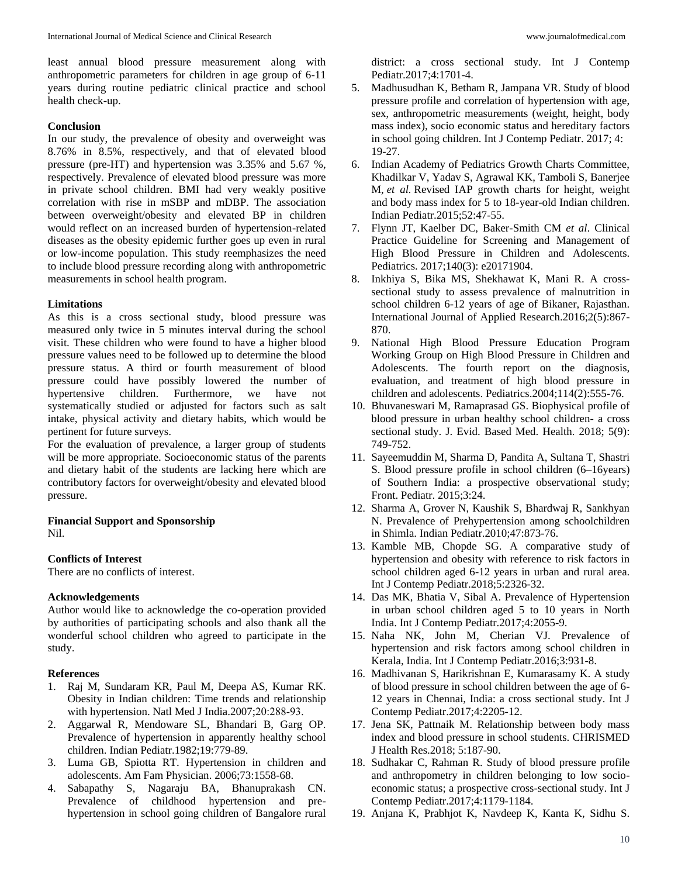least annual blood pressure measurement along with anthropometric parameters for children in age group of 6-11 years during routine pediatric clinical practice and school health check-up.

### **Conclusion**

In our study, the prevalence of obesity and overweight was 8.76% in 8.5%, respectively, and that of elevated blood pressure (pre-HT) and hypertension was 3.35% and 5.67 %, respectively. Prevalence of elevated blood pressure was more in private school children. BMI had very weakly positive correlation with rise in mSBP and mDBP. The association between overweight/obesity and elevated BP in children would reflect on an increased burden of hypertension-related diseases as the obesity epidemic further goes up even in rural or low-income population. This study reemphasizes the need to include blood pressure recording along with anthropometric measurements in school health program.

### **Limitations**

As this is a cross sectional study, blood pressure was measured only twice in 5 minutes interval during the school visit. These children who were found to have a higher blood pressure values need to be followed up to determine the blood pressure status. A third or fourth measurement of blood pressure could have possibly lowered the number of hypertensive children. Furthermore, we have not systematically studied or adjusted for factors such as salt intake, physical activity and dietary habits, which would be pertinent for future surveys.

For the evaluation of prevalence, a larger group of students will be more appropriate. Socioeconomic status of the parents and dietary habit of the students are lacking here which are contributory factors for overweight/obesity and elevated blood pressure.

# **Financial Support and Sponsorship**

Nil.

## **Conflicts of Interest**

There are no conflicts of interest.

## **Acknowledgements**

Author would like to acknowledge the co-operation provided by authorities of participating schools and also thank all the wonderful school children who agreed to participate in the study.

## **References**

- 1. Raj M, Sundaram KR, Paul M, Deepa AS, Kumar RK. Obesity in Indian children: Time trends and relationship with hypertension. Natl Med J India.2007;20:288-93.
- 2. Aggarwal R, Mendoware SL, Bhandari B, Garg OP. Prevalence of hypertension in apparently healthy school children. Indian Pediatr.1982;19:779-89.
- 3. Luma GB, Spiotta RT. Hypertension in children and adolescents. Am Fam Physician. 2006;73:1558-68.
- 4. Sabapathy S, Nagaraju BA, Bhanuprakash CN. Prevalence of childhood hypertension and prehypertension in school going children of Bangalore rural

district: a cross sectional study. Int J Contemp Pediatr.2017;4:1701-4.

- 5. Madhusudhan K, Betham R, Jampana VR. Study of blood pressure profile and correlation of hypertension with age, sex, anthropometric measurements (weight, height, body mass index), socio economic status and hereditary factors in school going children. Int J Contemp Pediatr. 2017; 4: 19-27.
- 6. Indian Academy of Pediatrics Growth Charts Committee, Khadilkar V, Yadav S, Agrawal KK, Tamboli S, Banerjee M, *et al.* Revised IAP growth charts for height, weight and body mass index for 5 to 18-year-old Indian children. Indian Pediatr.2015;52:47-55.
- 7. Flynn JT, Kaelber DC, Baker-Smith CM *et al*. Clinical Practice Guideline for Screening and Management of High Blood Pressure in Children and Adolescents. Pediatrics. 2017;140(3): e20171904.
- 8. Inkhiya S, Bika MS, Shekhawat K, Mani R. A crosssectional study to assess prevalence of malnutrition in school children 6-12 years of age of Bikaner, Rajasthan. International Journal of Applied Research.2016;2(5):867- 870.
- 9. National High Blood Pressure Education Program Working Group on High Blood Pressure in Children and Adolescents. The fourth report on the diagnosis, evaluation, and treatment of high blood pressure in children and adolescents. Pediatrics.2004;114(2):555-76.
- 10. Bhuvaneswari M, Ramaprasad GS. Biophysical profile of blood pressure in urban healthy school children- a cross sectional study. J. Evid. Based Med. Health. 2018; 5(9): 749-752.
- 11. Sayeemuddin M, Sharma D, Pandita A, Sultana T, Shastri S. Blood pressure profile in school children (6–16years) of Southern India: a prospective observational study; Front. Pediatr. 2015;3:24.
- 12. Sharma A, Grover N, Kaushik S, Bhardwaj R, Sankhyan N. Prevalence of Prehypertension among schoolchildren in Shimla. Indian Pediatr.2010;47:873-76.
- 13. Kamble MB, Chopde SG. A comparative study of hypertension and obesity with reference to risk factors in school children aged 6-12 years in urban and rural area. Int J Contemp Pediatr.2018;5:2326-32.
- 14. Das MK, Bhatia V, Sibal A. Prevalence of Hypertension in urban school children aged 5 to 10 years in North India. Int J Contemp Pediatr.2017;4:2055-9.
- 15. Naha NK, John M, Cherian VJ. Prevalence of hypertension and risk factors among school children in Kerala, India. Int J Contemp Pediatr.2016;3:931-8.
- 16. Madhivanan S, Harikrishnan E, Kumarasamy K. A study of blood pressure in school children between the age of 6- 12 years in Chennai, India: a cross sectional study. Int J Contemp Pediatr.2017;4:2205-12.
- 17. Jena SK, Pattnaik M. Relationship between body mass index and blood pressure in school students. CHRISMED J Health Res.2018; 5:187-90.
- 18. Sudhakar C, Rahman R. Study of blood pressure profile and anthropometry in children belonging to low socioeconomic status; a prospective cross-sectional study. Int J Contemp Pediatr.2017;4:1179-1184.
- 19. Anjana K, Prabhjot K, Navdeep K, Kanta K, Sidhu S.